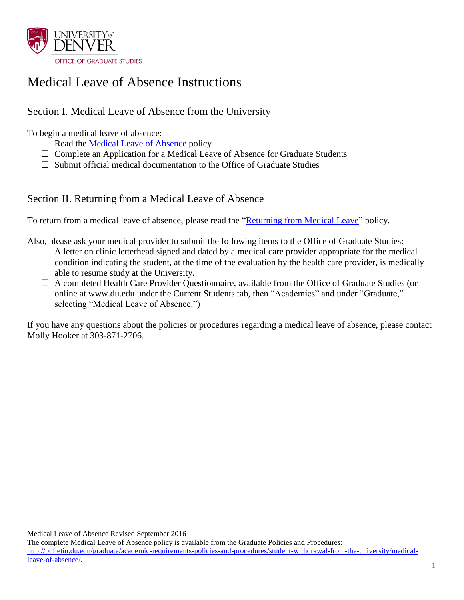

## Medical Leave of Absence Instructions

## Section I. Medical Leave of Absence from the University

To begin a medical leave of absence:

- $\Box$  Read the [Medical Leave of Absence](http://bulletin.du.edu/graduate/academic-requirements-policies-and-procedures/student-withdrawal-from-the-university/medical-leave-of-absence/) policy
- $\Box$  Complete an Application for a Medical Leave of Absence for Graduate Students
- $\Box$  Submit official medical documentation to the Office of Graduate Studies

### Section II. Returning from a Medical Leave of Absence

To return from a medical leave of absence, please read the ["Returning from Medical Leave"](http://bulletin.du.edu/graduate/academic-requirements-policies-and-procedures/student-withdrawal-from-the-university/medical-leave-of-absence/) policy.

Also, please ask your medical provider to submit the following items to the Office of Graduate Studies:

- $\Box$  A letter on clinic letterhead signed and dated by a medical care provider appropriate for the medical condition indicating the student, at the time of the evaluation by the health care provider, is medically able to resume study at the University.
- A completed Health Care Provider Questionnaire, available from the Office of Graduate Studies (or online at www.du.edu under the Current Students tab, then "Academics" and under "Graduate," selecting "Medical Leave of Absence.")

If you have any questions about the policies or procedures regarding a medical leave of absence, please contact Molly Hooker at 303-871-2706.

Medical Leave of Absence Revised September 2016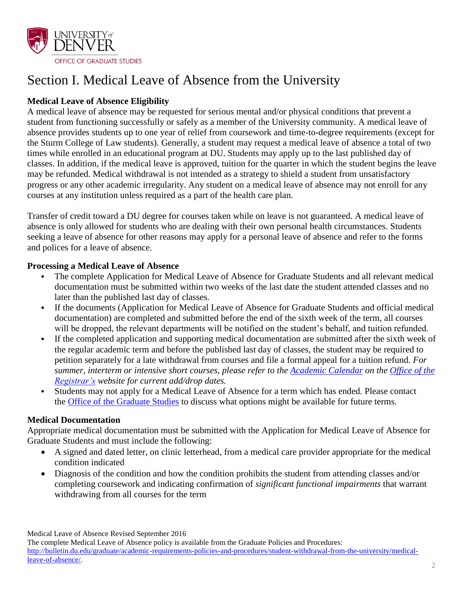

# Section I. Medical Leave of Absence from the University

### **Medical Leave of Absence Eligibility**

A medical leave of absence may be requested for serious mental and/or physical conditions that prevent a student from functioning successfully or safely as a member of the University community. A medical leave of absence provides students up to one year of relief from coursework and time-to-degree requirements (except for the Sturm College of Law students). Generally, a student may request a medical leave of absence a total of two times while enrolled in an educational program at DU. Students may apply up to the last published day of classes. In addition, if the medical leave is approved, tuition for the quarter in which the student begins the leave may be refunded. Medical withdrawal is not intended as a strategy to shield a student from unsatisfactory progress or any other academic irregularity. Any student on a medical leave of absence may not enroll for any courses at any institution unless required as a part of the health care plan.

Transfer of credit toward a DU degree for courses taken while on leave is not guaranteed. A medical leave of absence is only allowed for students who are dealing with their own personal health circumstances. Students seeking a leave of absence for other reasons may apply for a personal leave of absence and refer to the forms and polices for a leave of absence.

### **Processing a Medical Leave of Absence**

- The complete Application for Medical Leave of Absence for Graduate Students and all relevant medical documentation must be submitted within two weeks of the last date the student attended classes and no later than the published last day of classes.
- If the documents [\(Application for Medical Leave of Absence for Graduate Students](http://www.du.edu/media/documents/graduates/personalleave.pdf) and official medical documentation) are completed and submitted before the end of the sixth week of the term, all courses will be dropped, the relevant departments will be notified on the student's behalf, and tuition refunded.
- If the completed application and supporting medical documentation are submitted after the sixth week of the regular academic term and before the published last day of classes, the student may be required to petition separately for a late withdrawal from courses and file a formal appeal for a tuition refund. *For summer, interterm or intensive short courses, please refer to the [Academic Calendar](http://www.du.edu/registrar/calendar/) on the [Office of the](http://www.du.edu/registrar/index.html)  [Registrar's](http://www.du.edu/registrar/index.html) website for current add/drop dates.*
- Students may not apply for a Medical Leave of Absence for a term which has ended. Please contact the [Office of the Graduate Studies](http://www.du.edu/learn/graduates/studentresources.html) to discuss what options might be available for future terms.

### **Medical Documentation**

Appropriate medical documentation must be submitted with the Application for Medical Leave of Absence for Graduate Students and must include the following:

- A signed and dated letter, on clinic letterhead, from a medical care provider appropriate for the medical condition indicated
- Diagnosis of the condition and how the condition prohibits the student from attending classes and/or completing coursework and indicating confirmation of *significant functional impairments* that warrant withdrawing from all courses for the term

Medical Leave of Absence Revised September 2016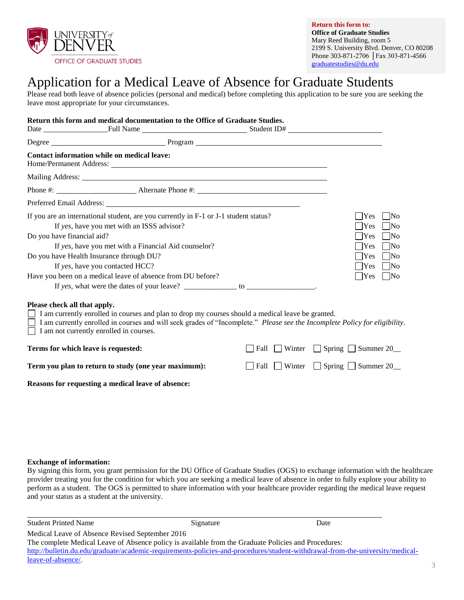

**Return this form to: Office of Graduate Studies** Mary Reed Building, room 5 2199 S. University Blvd. Denver, CO 80208 Phone 303-871-2706 │Fax 303-871-4566 [graduatestudies@du.edu](mailto:graduatestudies@du.edu)

## Application for a Medical Leave of Absence for Graduate Students

Please read both leave of absence policies (personal and medical) before completing this application to be sure you are seeking the leave most appropriate for your circumstances.

|                                                                                                                                                                                                                                    | Return this form and medical documentation to the Office of Graduate Studies.                                                                                                                                                                                                                                                                                                                                                                  |                |                                                                                                                                                                                                                       |  |
|------------------------------------------------------------------------------------------------------------------------------------------------------------------------------------------------------------------------------------|------------------------------------------------------------------------------------------------------------------------------------------------------------------------------------------------------------------------------------------------------------------------------------------------------------------------------------------------------------------------------------------------------------------------------------------------|----------------|-----------------------------------------------------------------------------------------------------------------------------------------------------------------------------------------------------------------------|--|
|                                                                                                                                                                                                                                    | Degree Program Program Program Program Program Program Program Program Program Program Program Program Program Program Program Program Program Program Program Program Program Program Program Program Program Program Program                                                                                                                                                                                                                 |                |                                                                                                                                                                                                                       |  |
| <b>Contact information while on medical leave:</b>                                                                                                                                                                                 |                                                                                                                                                                                                                                                                                                                                                                                                                                                |                |                                                                                                                                                                                                                       |  |
|                                                                                                                                                                                                                                    |                                                                                                                                                                                                                                                                                                                                                                                                                                                |                |                                                                                                                                                                                                                       |  |
|                                                                                                                                                                                                                                    |                                                                                                                                                                                                                                                                                                                                                                                                                                                |                |                                                                                                                                                                                                                       |  |
|                                                                                                                                                                                                                                    |                                                                                                                                                                                                                                                                                                                                                                                                                                                |                |                                                                                                                                                                                                                       |  |
| If yes, have you met with an ISSS advisor?<br>Do you have financial aid?<br>Do you have Health Insurance through DU?<br>If yes, have you contacted HCC?<br>Please check all that apply.<br>I am not currently enrolled in courses. | If you are an international student, are you currently in F-1 or J-1 student status?<br>If yes, have you met with a Financial Aid counselor?<br>Have you been on a medical leave of absence from DU before?<br>I am currently enrolled in courses and plan to drop my courses should a medical leave be granted.<br>I am currently enrolled in courses and will seek grades of "Incomplete." Please see the Incomplete Policy for eligibility. |                | <b>Yes</b><br>-INo<br>Yes<br>$\overline{\text{No}}$<br>$\exists$ Yes<br><b>No</b><br>Yes<br>$\overline{\text{No}}$<br>Yes<br>$\overline{\text{No}}$<br>$\bigcap$ Yes<br>$\overline{\text{No}}$<br>  Yes<br>$\vert$ No |  |
| Terms for which leave is requested:                                                                                                                                                                                                |                                                                                                                                                                                                                                                                                                                                                                                                                                                | Winter<br>Fall | $\Box$ Spring $\Box$ Summer 20                                                                                                                                                                                        |  |
| Term you plan to return to study (one year maximum):                                                                                                                                                                               |                                                                                                                                                                                                                                                                                                                                                                                                                                                |                | $\Box$ Fall $\Box$ Winter $\Box$ Spring $\Box$ Summer 20                                                                                                                                                              |  |
| Reasons for requesting a medical leave of absence:                                                                                                                                                                                 |                                                                                                                                                                                                                                                                                                                                                                                                                                                |                |                                                                                                                                                                                                                       |  |

#### **Exchange of information:**

By signing this form, you grant permission for the DU Office of Graduate Studies (OGS) to exchange information with the healthcare provider treating you for the condition for which you are seeking a medical leave of absence in order to fully explore your ability to perform as a student. The OGS is permitted to share information with your healthcare provider regarding the medical leave request and your status as a student at the university.

| <b>Student Printed Name</b>                                                                                                   | Signature | Date |  |  |
|-------------------------------------------------------------------------------------------------------------------------------|-----------|------|--|--|
| Medical Leave of Absence Revised September 2016                                                                               |           |      |  |  |
| The complete Medical Leave of Absence policy is available from the Graduate Policies and Procedures:                          |           |      |  |  |
| http://bulletin.du.edu/graduate/academic-requirements-policies-and-procedures/student-withdrawal-from-the-university/medical- |           |      |  |  |
| leave-of-absence.                                                                                                             |           |      |  |  |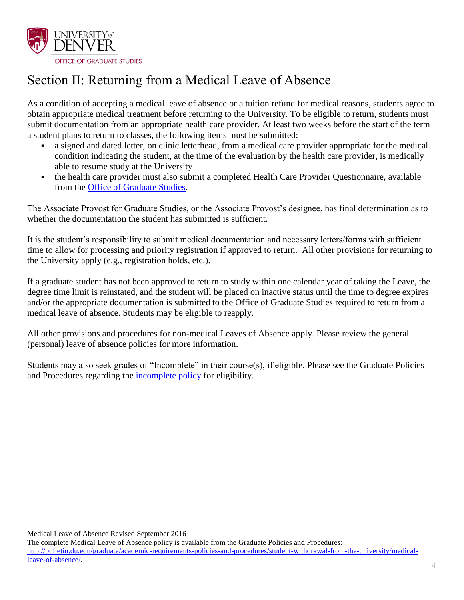

# Section II: Returning from a Medical Leave of Absence

As a condition of accepting a medical leave of absence or a tuition refund for medical reasons, students agree to obtain appropriate medical treatment before returning to the University. To be eligible to return, students must submit documentation from an appropriate health care provider. At least two weeks before the start of the term a student plans to return to classes, the following items must be submitted:

- a signed and dated letter, on clinic letterhead, from a medical care provider appropriate for the medical condition indicating the student, at the time of the evaluation by the health care provider, is medically able to resume study at the University
- the health care provider must also submit a completed Health Care Provider Questionnaire, available from the [Office of Graduate Studies.](http://www.du.edu/learn/graduates/studentresources.html)

The Associate Provost for Graduate Studies, or the Associate Provost's designee, has final determination as to whether the documentation the student has submitted is sufficient.

It is the student's responsibility to submit medical documentation and necessary letters/forms with sufficient time to allow for processing and priority registration if approved to return. All other provisions for returning to the University apply (e.g., registration holds, etc.).

If a graduate student has not been approved to return to study within one calendar year of taking the Leave, the degree time limit is reinstated, and the student will be placed on inactive status until the time to degree expires and/or the appropriate documentation is submitted to the Office of Graduate Studies required to return from a medical leave of absence. Students may be eligible to reapply.

All other provisions and procedures for non-medical Leaves of Absence apply. Please review the general (personal) leave of absence policies for more information.

Students may also seek grades of "Incomplete" in their course(s), if eligible. Please see the Graduate Policies and Procedures regarding the [incomplete policy](http://bulletin.du.edu/graduate/general-information/university-grading-system/incompletes/) for eligibility.

Medical Leave of Absence Revised September 2016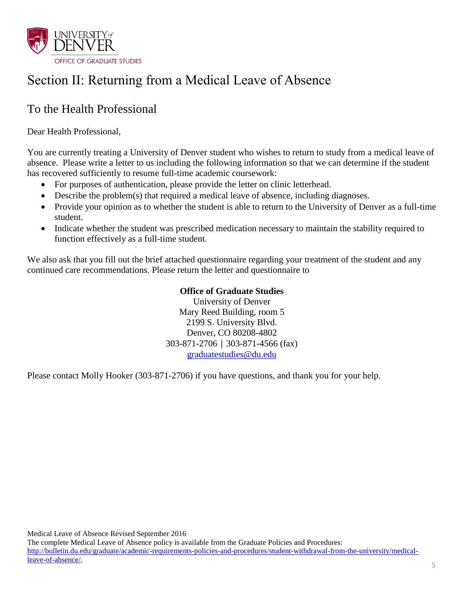

# Section II: Returning from a Medical Leave of Absence

## To the Health Professional

Dear Health Professional,

You are currently treating a University of Denver student who wishes to return to study from a medical leave of absence. Please write a letter to us including the following information so that we can determine if the student has recovered sufficiently to resume full-time academic coursework:

- For purposes of authentication, please provide the letter on clinic letterhead.
- Describe the problem(s) that required a medical leave of absence, including diagnoses.
- Provide your opinion as to whether the student is able to return to the University of Denver as a full-time student.
- Indicate whether the student was prescribed medication necessary to maintain the stability required to function effectively as a full-time student.

We also ask that you fill out the brief attached questionnaire regarding your treatment of the student and any continued care recommendations. Please return the letter and questionnaire to

### **Office of Graduate Studies**

University of Denver Mary Reed Building, room 5 2199 S. University Blvd. Denver, CO 80208-4802 303-871-2706 │ 303-871-4566 (fax) [graduatestudies@du.edu](mailto:graduatestudies@du.edu)

Please contact Molly Hooker (303-871-2706) if you have questions, and thank you for your help.

Medical Leave of Absence Revised September 2016